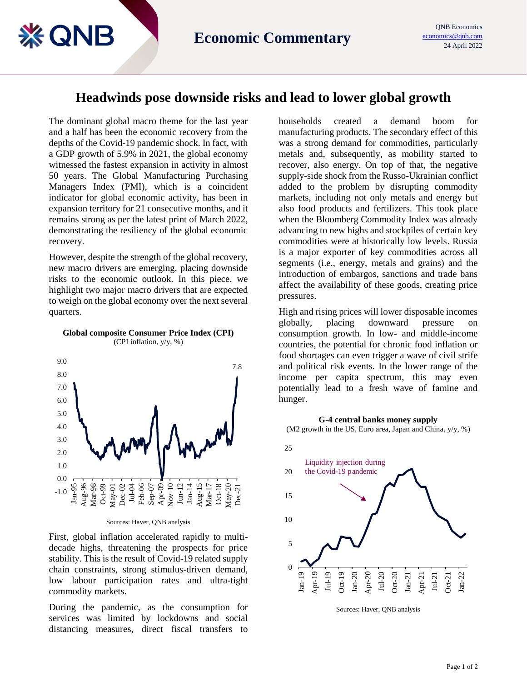## **Headwinds pose downside risks and lead to lower global growth**

The dominant global macro theme for the last year and a half has been the economic recovery from the depths of the Covid-19 pandemic shock. In fact, with a GDP growth of 5.9% in 2021, the global economy witnessed the fastest expansion in activity in almost 50 years. The Global Manufacturing Purchasing Managers Index (PMI), which is a coincident indicator for global economic activity, has been in expansion territory for 21 consecutive months, and it remains strong as per the latest print of March 2022, demonstrating the resiliency of the global economic recovery.

**EQNB** 

However, despite the strength of the global recovery, new macro drivers are emerging, placing downside risks to the economic outlook. In this piece, we highlight two major macro drivers that are expected to weigh on the global economy over the next several quarters.



**Global composite Consumer Price Index (CPI)** (CPI inflation, y/y, %)

Sources: Haver, QNB analysis

First, global inflation accelerated rapidly to multidecade highs, threatening the prospects for price stability. This is the result of Covid-19 related supply chain constraints, strong stimulus-driven demand, low labour participation rates and ultra-tight commodity markets.

During the pandemic, as the consumption for services was limited by lockdowns and social distancing measures, direct fiscal transfers to households created a demand boom for manufacturing products. The secondary effect of this was a strong demand for commodities, particularly metals and, subsequently, as mobility started to recover, also energy. On top of that, the negative supply-side shock from the Russo-Ukrainian conflict added to the problem by disrupting commodity markets, including not only metals and energy but also food products and fertilizers. This took place when the Bloomberg Commodity Index was already advancing to new highs and stockpiles of certain key commodities were at historically low levels. Russia is a major exporter of key commodities across all segments (i.e., energy, metals and grains) and the introduction of embargos, sanctions and trade bans affect the availability of these goods, creating price pressures.

High and rising prices will lower disposable incomes globally, placing downward pressure consumption growth. In low- and middle-income countries, the potential for chronic food inflation or food shortages can even trigger a wave of civil strife and political risk events. In the lower range of the income per capita spectrum, this may even potentially lead to a fresh wave of famine and hunger.

## **G-4 central banks money supply**

(M2 growth in the US, Euro area, Japan and China, y/y, %)



Sources: Haver, QNB analysis